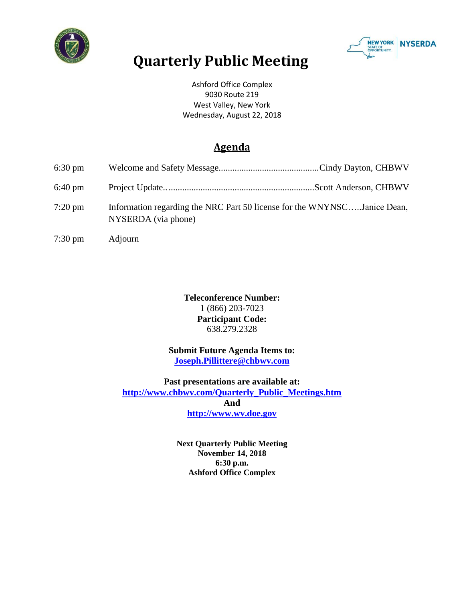



## **Quarterly Public Meeting**

Ashford Office Complex 9030 Route 219 West Valley, New York Wednesday, August 22, 2018

## **Agenda**

| $6:30 \text{ pm}$ |                                                                                                 |
|-------------------|-------------------------------------------------------------------------------------------------|
| $6:40 \text{ pm}$ |                                                                                                 |
| $7:20 \text{ pm}$ | Information regarding the NRC Part 50 license for the WNYNSCJanice Dean,<br>NYSERDA (via phone) |
| $7:30 \text{ pm}$ | Adjourn                                                                                         |

**Teleconference Number:** 1 (866) 203-7023 **Participant Code:** 638.279.2328

**Submit Future Agenda Items to: [Joseph.Pillittere@chbwv.com](mailto:Joseph.Pillittere@chbwv.com)**

**Past presentations are available at: [http://www.chbwv.com/Quarterly\\_Public\\_Meetings.htm](http://www.chbwv.com/Quarterly_Public_Meetings.htm) And [http://www.wv.doe.gov](http://www.wv.doe.gov/)**

> **Next Quarterly Public Meeting November 14, 2018 6:30 p.m. Ashford Office Complex**